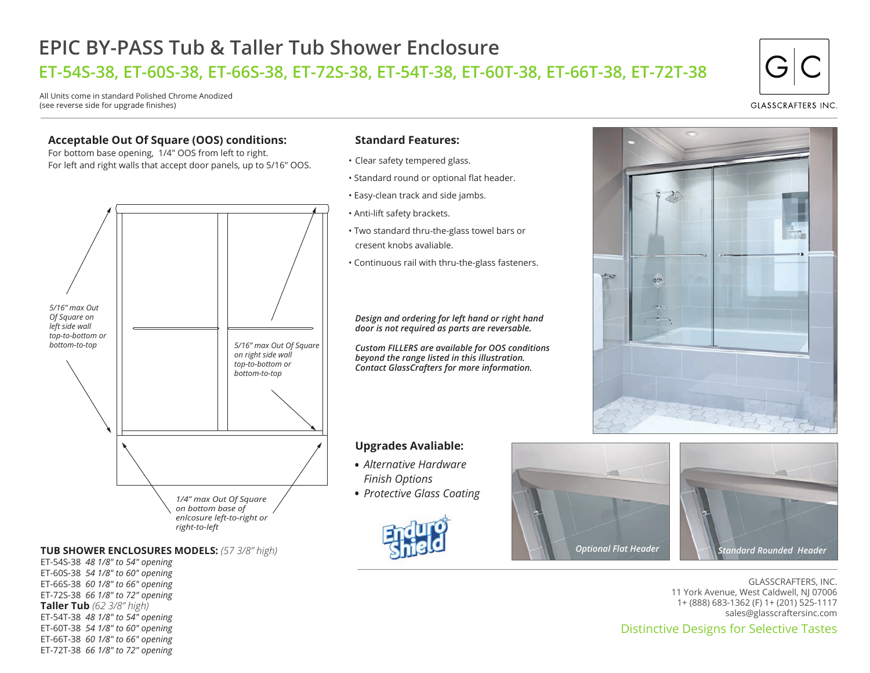## **EPIC BY-PASS Tub & Taller Tub Shower Enclosure ET-54S-38, ET-60S-38, ET-66S-38, ET-72S-38, ET-54T-38, ET-60T-38, ET-66T-38, ET-72T-38**

All Units come in standard Polished Chrome Anodized (see reverse side for upgrade finishes)

#### **Acceptable Out Of Square (OOS) conditions:**

For bottom base opening, 1/4" OOS from left to right. For left and right walls that accept door panels, up to 5/16" OOS.



#### **TUB SHOWER ENCLOSURES MODELS:** *(57 3/8" high)*

ET-54S-38 *48 1/8" to 54" opening* ET-60S-38 *54 1/8" to 60" opening* ET-66S-38 *60 1/8" to 66" opening* ET-72S-38 *66 1/8" to 72" opening* **Taller Tub** *(62 3/8" high)* ET-54T-38 *48 1/8" to 54" opening* ET-60T-38 *54 1/8" to 60" opening* ET-66T-38 *60 1/8" to 66" opening* ET-72T-38 *66 1/8" to 72" opening*

#### **Standard Features:**

- Clear safety tempered glass.
- Standard round or optional flat header.
- Easy-clean track and side jambs.
- Anti-lift safety brackets.
- Two standard thru-the-glass towel bars or cresent knobs avaliable.
- Continuous rail with thru-the-glass fasteners.

*Design and ordering for left hand or right hand door is not required as parts are reversable.*

*Custom FILLERS are available for OOS conditions beyond the range listed in this illustration. Contact GlassCrafters for more information.*

#### **Upgrades Avaliable:**

- *Alternative Hardware Finish Options*
- *Protective Glass Coating* •







GLASSCRAFTERS, INC. 11 York Avenue, West Caldwell, NJ 07006 1+ (888) 683-1362 (F) 1+ (201) 525-1117 sales@glasscraftersinc.com

### Distinctive Designs for Selective Tastes

# **GLASSCRAFTERS INC**